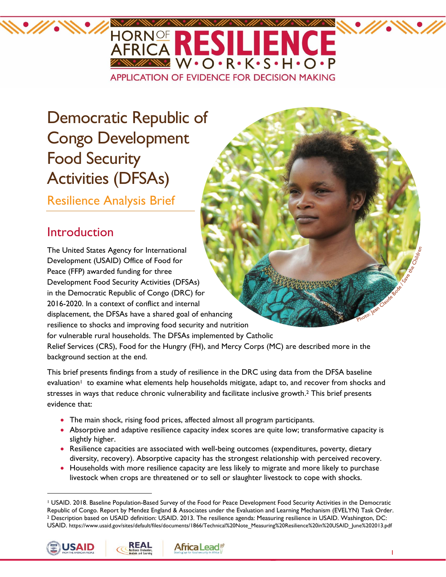

# Democratic Republic of Congo Development Food Security Activities (DFSAs)

Resilience Analysis Brief

## Introduction

The United States Agency for International Development (USAID) Office of Food for Peace (FFP) awarded funding for three Development Food Security Activities (DFSAs) in the Democratic Republic of Congo (DRC) for 2016-2020. In a context of conflict and internal displacement, the DFSAs have a shared goal of enhancing resilience to shocks and improving food security and nutrition for vulnerable rural households. The DFSAs implemented by Catholic Relief Services (CRS), Food for the Hungry (FH), and Mercy Corps (MC) are described more in the background section at the end.

This brief presents findings from a study of resilience in the DRC using data from the DFSA baseline evaluation<sup>1</sup> to examine what elements help households mitigate, adapt to, and recover from shocks and stresses in ways that reduce chronic vulnerability and facilitate inclusive growth. <sup>2</sup> This brief presents evidence that:

- The main shock, rising food prices, affected almost all program participants.
- Absorptive and adaptive resilience capacity index scores are quite low; transformative capacity is slightly higher.
- Resilience capacities are associated with well-being outcomes (expenditures, poverty, dietary diversity, recovery). Absorptive capacity has the strongest relationship with perceived recovery.
- Households with more resilience capacity are less likely to migrate and more likely to purchase livestock when crops are threatened or to sell or slaughter livestock to cope with shocks.

<sup>1</sup> USAID. 2018. Baseline Population-Based Survey of the Food for Peace Development Food Security Activities in the Democratic Republic of Congo. Report by Mendez England & Associates under the Evaluation and Learning Mechanism (EVELYN) Task Order. <sup>2</sup> Description based on USAID definition: USAID. 2013. The resilience agenda: Measuring resilience in USAID. Washington, DC: USAID. https://www.usaid.gov/sites/default/files/documents/1866/Technical%20Note\_Measuring%20Resilience%20in%20USAID\_June%202013.pdf





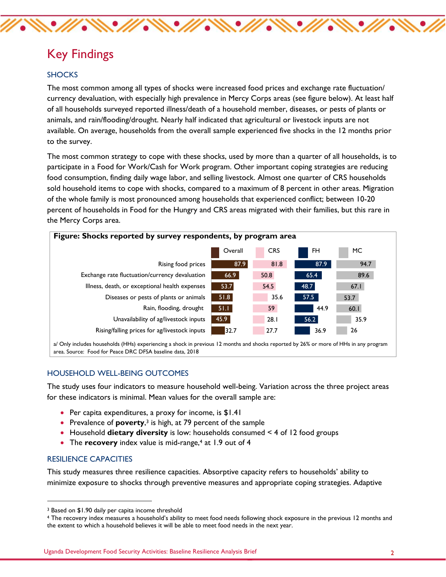### Key Findings

#### **SHOCKS**

The most common among all types of shocks were increased food prices and exchange rate fluctuation/ currency devaluation, with especially high prevalence in Mercy Corps areas (see figure below). At least half of all households surveyed reported illness/death of a household member, diseases, or pests of plants or animals, and rain/flooding/drought. Nearly half indicated that agricultural or livestock inputs are not available. On average, households from the overall sample experienced five shocks in the 12 months prior to the survey.

The most common strategy to cope with these shocks, used by more than a quarter of all households, is to participate in a Food for Work/Cash for Work program. Other important coping strategies are reducing food consumption, finding daily wage labor, and selling livestock. Almost one quarter of CRS households sold household items to cope with shocks, compared to a maximum of 8 percent in other areas. Migration of the whole family is most pronounced among households that experienced conflict; between 10-20 percent of households in Food for the Hungry and CRS areas migrated with their families, but this rare in the Mercy Corps area.



#### HOUSEHOLD WELL-BEING OUTCOMES

The study uses four indicators to measure household well-being. Variation across the three project areas for these indicators is minimal. Mean values for the overall sample are:

- Per capita expenditures, a proxy for income, is \$1.41
- Prevalence of **poverty**,<sup>3</sup> is high, at 79 percent of the sample
- Household **dietary diversity** is low: households consumed < 4 of 12 food groups
- The **recovery** index value is mid-range,<sup>4</sup> at 1.9 out of 4

#### RESILIENCE CAPACITIES

This study measures three resilience capacities. Absorptive capacity refers to households' ability to minimize exposure to shocks through preventive measures and appropriate coping strategies. Adaptive

<sup>4</sup> The recovery index measures a household's ability to meet food needs following shock exposure in the previous 12 months and the extent to which a household believes it will be able to meet food needs in the next year.

Uganda Development Food Security Activities: Baseline Resilience Analysis Brief 2

<sup>3</sup> Based on \$1.90 daily per capita income threshold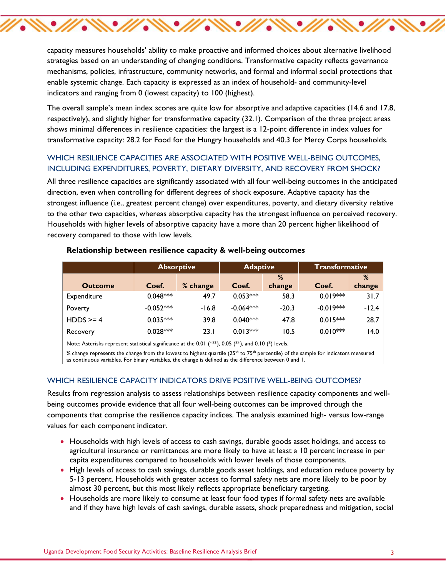capacity measures households' ability to make proactive and informed choices about alternative livelihood strategies based on an understanding of changing conditions. Transformative capacity reflects governance mechanisms, policies, infrastructure, community networks, and formal and informal social protections that enable systemic change. Each capacity is expressed as an index of household- and community-level indicators and ranging from 0 (lowest capacity) to 100 (highest).

 $\mathscr{W}\ll\mathscr{W}\ll\mathscr{W}\ll\mathscr{W}$ 

The overall sample's mean index scores are quite low for absorptive and adaptive capacities (14.6 and 17.8, respectively), and slightly higher for transformative capacity (32.1). Comparison of the three project areas shows minimal differences in resilience capacities: the largest is a 12-point difference in index values for transformative capacity: 28.2 for Food for the Hungry households and 40.3 for Mercy Corps households.

#### WHICH RESILIENCE CAPACITIES ARE ASSOCIATED WITH POSITIVE WELL-BEING OUTCOMES, INCLUDING EXPENDITURES, POVERTY, DIETARY DIVERSITY, AND RECOVERY FROM SHOCK?

All three resilience capacities are significantly associated with all four well-being outcomes in the anticipated direction, even when controlling for different degrees of shock exposure. Adaptive capacity has the strongest influence (i.e., greatest percent change) over expenditures, poverty, and dietary diversity relative to the other two capacities, whereas absorptive capacity has the strongest influence on perceived recovery. Households with higher levels of absorptive capacity have a more than 20 percent higher likelihood of recovery compared to those with low levels.

|                                                                                                      | <b>Absorptive</b> |          | <b>Adaptive</b> |             | <b>Transformative</b> |             |
|------------------------------------------------------------------------------------------------------|-------------------|----------|-----------------|-------------|-----------------------|-------------|
| <b>Outcome</b>                                                                                       | Coef.             | % change | Coef.           | %<br>change | Coef.                 | %<br>change |
|                                                                                                      |                   |          |                 |             |                       |             |
| Expenditure                                                                                          | $0.048***$        | 49.7     | $0.053***$      | 58.3        | $0.019***$            | 31.7        |
| Poverty                                                                                              | $-0.052***$       | $-16.8$  | $-0.064***$     | $-20.3$     | $-0.019***$           | $-12.4$     |
| $HDDS \ge 4$                                                                                         | $0.035***$        | 39.8     | $0.040***$      | 47.8        | $0.015***$            | 28.7        |
| Recovery                                                                                             | $0.028***$        | 23.1     | $0.013***$      | 10.5        | $0.010***$            | 14.0        |
| Note: Asterisks represent statistical significance at the 0.01 (**), 0.05 (**), and 0.10 (*) levels. |                   |          |                 |             |                       |             |

#### **Relationship between resilience capacity & well-being outcomes**

% change represents the change from the lowest to highest quartile ( $25<sup>th</sup>$  to  $75<sup>th</sup>$  percentile) of the sample for indicators measured as continuous variables. For binary variables, the change is defined as the difference between 0 and 1.

#### WHICH RESILIENCE CAPACITY INDICATORS DRIVE POSITIVE WELL-BEING OUTCOMES?

Results from regression analysis to assess relationships between resilience capacity components and wellbeing outcomes provide evidence that all four well-being outcomes can be improved through the components that comprise the resilience capacity indices. The analysis examined high- versus low-range values for each component indicator.

- Households with high levels of access to cash savings, durable goods asset holdings, and access to agricultural insurance or remittances are more likely to have at least a 10 percent increase in per capita expenditures compared to households with lower levels of those components.
- High levels of access to cash savings, durable goods asset holdings, and education reduce poverty by 5-13 percent. Households with greater access to formal safety nets are more likely to be poor by almost 30 percent, but this most likely reflects appropriate beneficiary targeting.
- Households are more likely to consume at least four food types if formal safety nets are available and if they have high levels of cash savings, durable assets, shock preparedness and mitigation, social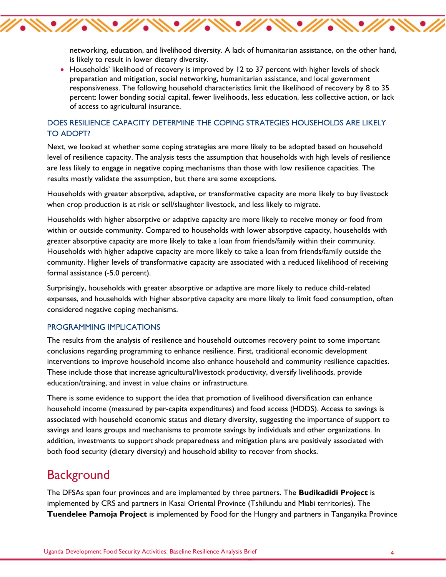networking, education, and livelihood diversity. A lack of humanitarian assistance, on the other hand, is likely to result in lower dietary diversity.

• Households' likelihood of recovery is improved by 12 to 37 percent with higher levels of shock preparation and mitigation, social networking, humanitarian assistance, and local government responsiveness. The following household characteristics limit the likelihood of recovery by 8 to 35 percent: lower bonding social capital, fewer livelihoods, less education, less collective action, or lack of access to agricultural insurance.

#### DOES RESILIENCE CAPACITY DETERMINE THE COPING STRATEGIES HOUSEHOLDS ARE LIKELY TO ADOPT?

 $\mathscr{U}\mathscr{N}\mathscr{M}\mathscr{N}\mathscr{N}\mathscr{N}$ 

Next, we looked at whether some coping strategies are more likely to be adopted based on household level of resilience capacity. The analysis tests the assumption that households with high levels of resilience are less likely to engage in negative coping mechanisms than those with low resilience capacities. The results mostly validate the assumption, but there are some exceptions.

Households with greater absorptive, adaptive, or transformative capacity are more likely to buy livestock when crop production is at risk or sell/slaughter livestock, and less likely to migrate.

Households with higher absorptive or adaptive capacity are more likely to receive money or food from within or outside community. Compared to households with lower absorptive capacity, households with greater absorptive capacity are more likely to take a loan from friends/family within their community. Households with higher adaptive capacity are more likely to take a loan from friends/family outside the community. Higher levels of transformative capacity are associated with a reduced likelihood of receiving formal assistance (-5.0 percent).

Surprisingly, households with greater absorptive or adaptive are more likely to reduce child-related expenses, and households with higher absorptive capacity are more likely to limit food consumption, often considered negative coping mechanisms.

#### PROGRAMMING IMPLICATIONS

The results from the analysis of resilience and household outcomes recovery point to some important conclusions regarding programming to enhance resilience. First, traditional economic development interventions to improve household income also enhance household and community resilience capacities. These include those that increase agricultural/livestock productivity, diversify livelihoods, provide education/training, and invest in value chains or infrastructure.

There is some evidence to support the idea that promotion of livelihood diversification can enhance household income (measured by per-capita expenditures) and food access (HDDS). Access to savings is associated with household economic status and dietary diversity, suggesting the importance of support to savings and loans groups and mechanisms to promote savings by individuals and other organizations. In addition, investments to support shock preparedness and mitigation plans are positively associated with both food security (dietary diversity) and household ability to recover from shocks.

### **Background**

The DFSAs span four provinces and are implemented by three partners. The **Budikadidi Project** is implemented by CRS and partners in Kasai Oriental Province (Tshilundu and Miabi territories). The **Tuendelee Pamoja Project** is implemented by Food for the Hungry and partners in Tanganyika Province